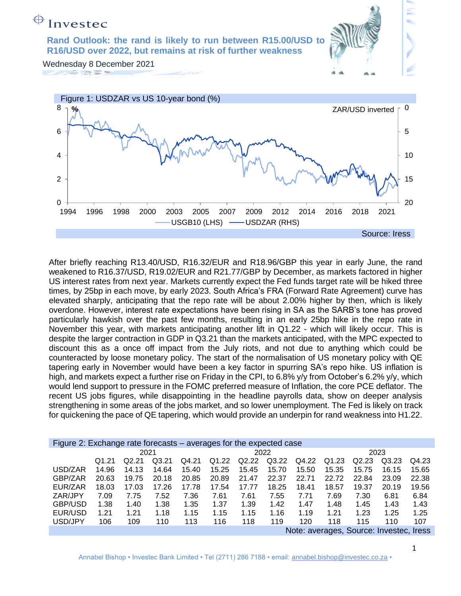



After briefly reaching R13.40/USD, R16.32/EUR and R18.96/GBP this year in early June, the rand weakened to R16.37/USD, R19.02/EUR and R21.77/GBP by December, as markets factored in higher US interest rates from next year. Markets currently expect the Fed funds target rate will be hiked three times, by 25bp in each move, by early 2023. South Africa's FRA (Forward Rate Agreement) curve has elevated sharply, anticipating that the repo rate will be about 2.00% higher by then, which is likely overdone. However, interest rate expectations have been rising in SA as the SARB's tone has proved particularly hawkish over the past few months, resulting in an early 25bp hike in the repo rate in November this year, with markets anticipating another lift in Q1.22 - which will likely occur. This is despite the larger contraction in GDP in Q3.21 than the markets anticipated, with the MPC expected to discount this as a once off impact from the July riots, and not due to anything which could be counteracted by loose monetary policy. The start of the normalisation of US monetary policy with QE tapering early in November would have been a key factor in spurring SA's repo hike. US inflation is high, and markets expect a further rise on Friday in the CPI, to 6.8% y/y from October's 6.2% y/y, which would lend support to pressure in the FOMC preferred measure of Inflation, the core PCE deflator. The recent US jobs figures, while disappointing in the headline payrolls data, show on deeper analysis strengthening in some areas of the jobs market, and so lower unemployment. The Fed is likely on track for quickening the pace of QE tapering, which would provide an underpin for rand weakness into H1.22.

| Figure 2: Exchange rate forecasts – averages for the expected case |       |       |       |       |       |       |       |       |       |       |                                         |       |
|--------------------------------------------------------------------|-------|-------|-------|-------|-------|-------|-------|-------|-------|-------|-----------------------------------------|-------|
|                                                                    |       | 2021  |       |       |       |       | 2022  |       |       |       | 2023                                    |       |
|                                                                    | Q1.21 | Q2.21 | Q3.21 | Q4.21 | Q1.22 | Q2.22 | Q3.22 | Q4.22 | Q1.23 | Q2.23 | Q3.23                                   | Q4.23 |
| USD/ZAR                                                            | 14.96 | 14.13 | 14.64 | 15.40 | 15.25 | 15.45 | 15.70 | 15.50 | 15.35 | 15.75 | 16.15                                   | 15.65 |
| GBP/ZAR                                                            | 20.63 | 19.75 | 20.18 | 20.85 | 20.89 | 21.47 | 22.37 | 22.71 | 22.72 | 22.84 | 23.09                                   | 22.38 |
| EUR/ZAR                                                            | 18.03 | 17.03 | 17.26 | 17.78 | 17.54 | 17.77 | 18.25 | 18.41 | 18.57 | 19.37 | 20.19                                   | 19.56 |
| ZAR/JPY                                                            | 7.09  | 7.75  | 7.52  | 7.36  | 7.61  | 7.61  | 7.55  | 7.71  | 7.69  | 7.30  | 6.81                                    | 6.84  |
| <b>GBP/USD</b>                                                     | 1.38  | 1.40  | 1.38  | 1.35  | 1.37  | 1.39  | 1.42  | 1.47  | 1.48  | 1.45  | 1.43                                    | 1.43  |
| EUR/USD                                                            | 1.21  | 1.21  | 1.18  | 1.15  | 1.15  | 1.15  | 1.16  | 1.19  | 1.21  | 1.23  | 1.25                                    | 1.25  |
| USD/JPY                                                            | 106   | 109   | 110   | 113   | 116   | 118   | 119   | 120   | 118   | 115   | 110                                     | 107   |
|                                                                    |       |       |       |       |       |       |       |       |       |       | Note: averages, Source: Investec, Iress |       |

Annabel Bishop • Investec Bank Limited • Tel (2711) 286 7188 • email: [annabel.bishop@investec.co.za](mailto:annabel.bishop@investec.co.za) •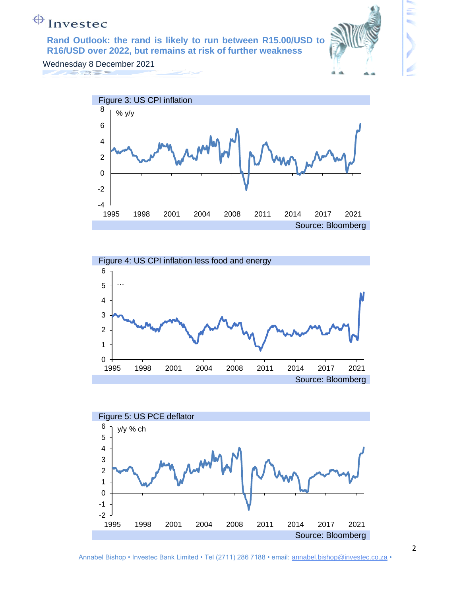**Rand Outlook: the rand is likely to run between R15.00/USD to R16/USD over 2022, but remains at risk of further weakness**



Wednesday 8 December 2021





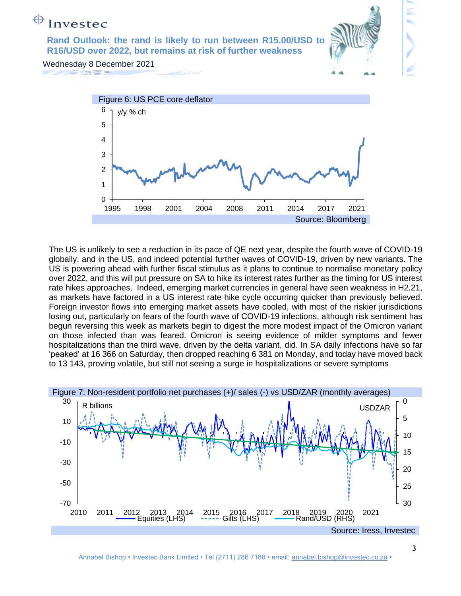# Invested **Rand Outlook: the rand is likely to run between R15.00/USD to R16/USD over 2022, but remains at risk of further weakness** Wednesday 8 December 2021



The US is unlikely to see a reduction in its pace of QE next year, despite the fourth wave of COVID-19 globally, and in the US, and indeed potential further waves of COVID-19, driven by new variants. The US is powering ahead with further fiscal stimulus as it plans to continue to normalise monetary policy over 2022, and this will put pressure on SA to hike its interest rates further as the timing for US interest rate hikes approaches. Indeed, emerging market currencies in general have seen weakness in H2.21, as markets have factored in a US interest rate hike cycle occurring quicker than previously believed. Foreign investor flows into emerging market assets have cooled, with most of the riskier jurisdictions losing out, particularly on fears of the fourth wave of COVID-19 infections, although risk sentiment has begun reversing this week as markets begin to digest the more modest impact of the Omicron variant on those infected than was feared. Omicron is seeing evidence of milder symptoms and fewer hospitalizations than the third wave, driven by the delta variant, did. In SA daily infections have so far 'peaked' at 16 366 on Saturday, then dropped reaching 6 381 on Monday, and today have moved back to 13 143, proving volatile, but still not seeing a surge in hospitalizations or severe symptoms

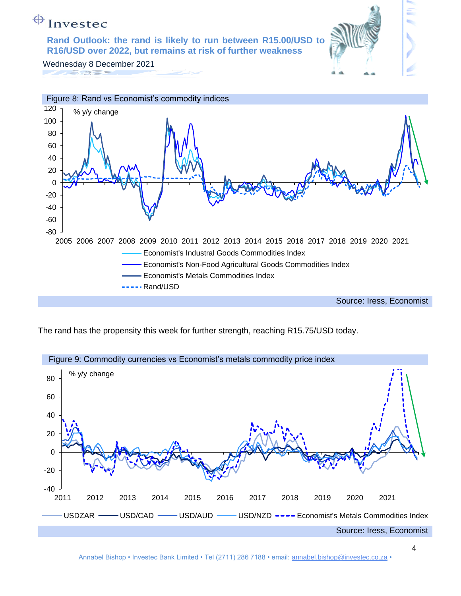### $\bigoplus$  Investec **Rand Outlook: the rand is likely to run between R15.00/USD to R16/USD over 2022, but remains at risk of further weakness** Wednesday 8 December 2021 Figure 8: Rand vs Economist's commodity indices 120 % y/y change 100



-----Rand/USD

Economist's Metals Commodities Index

-80 -60 -40 -20 0 20 40 60 80



2005 2006 2007 2008 2009 2010 2011 2012 2013 2014 2015 2016 2017 2018 2019 2020 2021

Economist's Non-Food Agricultural Goods Commodities Index

Economist's Industral Goods Commodities Index

Source: Iress, Economist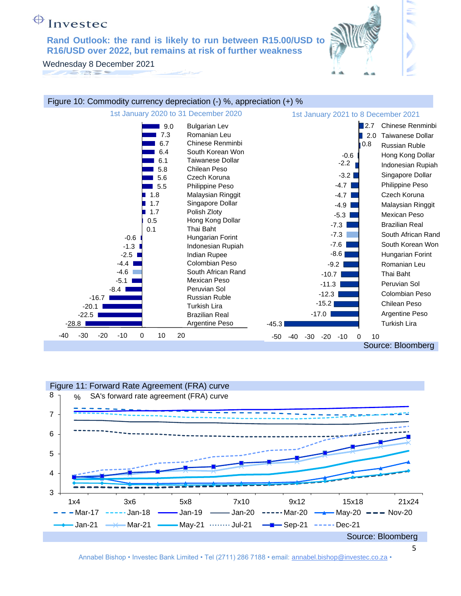**Rand Outlook: the rand is likely to run between R15.00/USD to R16/USD over 2022, but remains at risk of further weakness**

Wednesday 8 December 2021 







Annabel Bishop • Investec Bank Limited • Tel (2711) 286 7188 • email: [annabel.bishop@investec.co.za](mailto:annabel.bishop@investec.co.za) •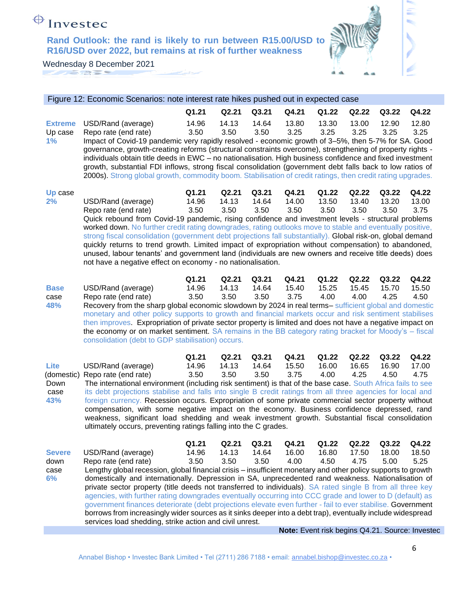**Rand Outlook: the rand is likely to run between R15.00/USD to R16/USD over 2022, but remains at risk of further weakness**



Ė

Wednesday 8 December 2021

|                                                                                           |                                                                                                                                                                                                                          | Q1.21 | Q2.21 | Q3.21 | Q4.21 | Q1.22 | Q2.22 | Q3.22 | Q4.22          |
|-------------------------------------------------------------------------------------------|--------------------------------------------------------------------------------------------------------------------------------------------------------------------------------------------------------------------------|-------|-------|-------|-------|-------|-------|-------|----------------|
| <b>Extreme</b>                                                                            | USD/Rand (average)                                                                                                                                                                                                       | 14.96 | 14.13 | 14.64 | 13.80 | 13.30 | 13.00 | 12.90 | 12.80          |
| Up case                                                                                   | Repo rate (end rate)                                                                                                                                                                                                     | 3.50  | 3.50  | 3.50  | 3.25  | 3.25  | 3.25  | 3.25  | 3.25           |
| 1%                                                                                        | Impact of Covid-19 pandemic very rapidly resolved - economic growth of 3–5%, then 5-7% for SA. Good                                                                                                                      |       |       |       |       |       |       |       |                |
|                                                                                           | governance, growth-creating reforms (structural constraints overcome), strengthening of property rights -                                                                                                                |       |       |       |       |       |       |       |                |
|                                                                                           | individuals obtain title deeds in EWC - no nationalisation. High business confidence and fixed investment                                                                                                                |       |       |       |       |       |       |       |                |
|                                                                                           | growth, substantial FDI inflows, strong fiscal consolidation (government debt falls back to low ratios of                                                                                                                |       |       |       |       |       |       |       |                |
|                                                                                           | 2000s). Strong global growth, commodity boom. Stabilisation of credit ratings, then credit rating upgrades.                                                                                                              |       |       |       |       |       |       |       |                |
| Up case                                                                                   |                                                                                                                                                                                                                          | Q1.21 | Q2.21 | Q3.21 | Q4.21 | Q1.22 | Q2.22 | Q3.22 | Q4.22          |
| 2%                                                                                        | USD/Rand (average)                                                                                                                                                                                                       | 14.96 | 14.13 | 14.64 | 14.00 | 13.50 | 13.40 | 13.20 | 13.00          |
|                                                                                           | Repo rate (end rate)                                                                                                                                                                                                     | 3.50  | 3.50  | 3.50  | 3.50  | 3.50  | 3.50  | 3.50  | 3.75           |
|                                                                                           | Quick rebound from Covid-19 pandemic, rising confidence and investment levels - structural problems                                                                                                                      |       |       |       |       |       |       |       |                |
|                                                                                           | worked down. No further credit rating downgrades, rating outlooks move to stable and eventually positive,<br>strong fiscal consolidation (government debt projections fall substantially). Global risk-on, global demand |       |       |       |       |       |       |       |                |
|                                                                                           | quickly returns to trend growth. Limited impact of expropriation without compensation) to abandoned,                                                                                                                     |       |       |       |       |       |       |       |                |
|                                                                                           | unused, labour tenants' and government land (individuals are new owners and receive title deeds) does                                                                                                                    |       |       |       |       |       |       |       |                |
|                                                                                           | not have a negative effect on economy - no nationalisation.                                                                                                                                                              |       |       |       |       |       |       |       |                |
|                                                                                           |                                                                                                                                                                                                                          | Q1.21 | Q2.21 | Q3.21 | Q4.21 | Q1.22 | Q2.22 | Q3.22 | Q4.22          |
| <b>Base</b>                                                                               | USD/Rand (average)                                                                                                                                                                                                       | 14.96 | 14.13 | 14.64 | 15.40 | 15.25 | 15.45 | 15.70 | 15.50          |
|                                                                                           |                                                                                                                                                                                                                          | 3.50  | 3.50  | 3.50  | 3.75  | 4.00  | 4.00  | 4.25  | 4.50           |
|                                                                                           |                                                                                                                                                                                                                          |       |       |       |       |       |       |       |                |
|                                                                                           | Repo rate (end rate)                                                                                                                                                                                                     |       |       |       |       |       |       |       |                |
|                                                                                           | Recovery from the sharp global economic slowdown by 2024 in real terms– sufficient global and domestic<br>monetary and other policy supports to growth and financial markets occur and risk sentiment stabilises         |       |       |       |       |       |       |       |                |
|                                                                                           | then improves. Expropriation of private sector property is limited and does not have a negative impact on                                                                                                                |       |       |       |       |       |       |       |                |
|                                                                                           | the economy or on market sentiment. SA remains in the BB category rating bracket for Moody's - fiscal                                                                                                                    |       |       |       |       |       |       |       |                |
|                                                                                           | consolidation (debt to GDP stabilisation) occurs.                                                                                                                                                                        |       |       |       |       |       |       |       |                |
|                                                                                           |                                                                                                                                                                                                                          | Q1.21 | Q2.21 | Q3.21 | Q4.21 | Q1.22 | Q2.22 | Q3.22 | Q4.22          |
|                                                                                           | USD/Rand (average)                                                                                                                                                                                                       | 14.96 | 14.13 | 14.64 | 15.50 | 16.00 | 16.65 | 16.90 | 17.00          |
|                                                                                           | Repo rate (end rate)                                                                                                                                                                                                     | 3.50  | 3.50  | 3.50  | 3.75  | 4.00  | 4.25  | 4.50  | 4.75           |
|                                                                                           | The international environment (including risk sentiment) is that of the base case. South Africa fails to see                                                                                                             |       |       |       |       |       |       |       |                |
|                                                                                           | its debt projections stabilise and falls into single B credit ratings from all three agencies for local and                                                                                                              |       |       |       |       |       |       |       |                |
|                                                                                           | foreign currency. Recession occurs. Expropriation of some private commercial sector property without                                                                                                                     |       |       |       |       |       |       |       |                |
|                                                                                           | compensation, with some negative impact on the economy. Business confidence depressed, rand                                                                                                                              |       |       |       |       |       |       |       |                |
|                                                                                           | weakness, significant load shedding and weak investment growth. Substantial fiscal consolidation<br>ultimately occurs, preventing ratings falling into the C grades.                                                     |       |       |       |       |       |       |       |                |
|                                                                                           |                                                                                                                                                                                                                          |       |       |       |       |       |       |       |                |
|                                                                                           |                                                                                                                                                                                                                          | Q1.21 | Q2.21 | Q3.21 | Q4.21 | Q1.22 | Q2.22 | Q3.22 |                |
|                                                                                           | USD/Rand (average)                                                                                                                                                                                                       | 14.96 | 14.13 | 14.64 | 16.00 | 16.80 | 17.50 | 18.00 | Q4.22<br>18.50 |
|                                                                                           | Repo rate (end rate)                                                                                                                                                                                                     | 3.50  | 3.50  | 3.50  | 4.00  | 4.50  | 4.75  | 5.00  | 5.25           |
| case<br>48%<br>Lite<br>(domestic)<br>Down<br>case<br>43%<br><b>Severe</b><br>down<br>case | Lengthy global recession, global financial crisis – insufficient monetary and other policy supports to growth                                                                                                            |       |       |       |       |       |       |       |                |
|                                                                                           | domestically and internationally. Depression in SA, unprecedented rand weakness. Nationalisation of<br>private sector property (title deeds not transferred to individuals). SA rated single B from all three key        |       |       |       |       |       |       |       |                |
|                                                                                           | agencies, with further rating downgrades eventually occurring into CCC grade and lower to D (default) as                                                                                                                 |       |       |       |       |       |       |       |                |
| 6%                                                                                        | government finances deteriorate (debt projections elevate even further - fail to ever stabilise. Government                                                                                                              |       |       |       |       |       |       |       |                |
|                                                                                           | borrows from increasingly wider sources as it sinks deeper into a debt trap), eventually include widespread<br>services load shedding, strike action and civil unrest.                                                   |       |       |       |       |       |       |       |                |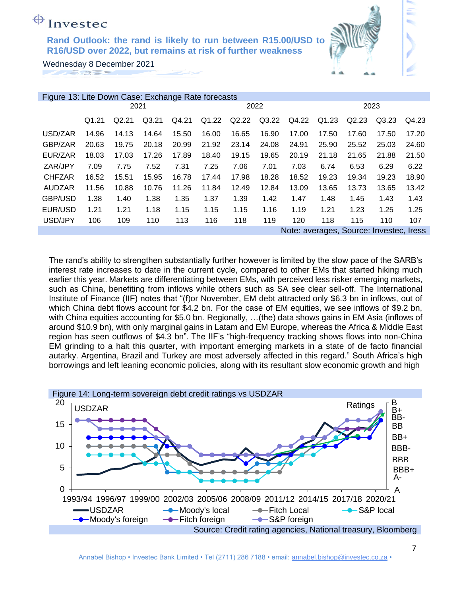### Invested

**Rand Outlook: the rand is likely to run between R15.00/USD to R16/USD over 2022, but remains at risk of further weakness**

Wednesday 8 December 2021

| Figure 13: Lite Down Case: Exchange Rate forecasts |       |       |       |       |                   |       |       |       |       |       |                                         |       |
|----------------------------------------------------|-------|-------|-------|-------|-------------------|-------|-------|-------|-------|-------|-----------------------------------------|-------|
|                                                    |       | 2021  |       |       |                   |       | 2022  |       | 2023  |       |                                         |       |
|                                                    | Q1.21 | Q2.21 | Q3.21 | Q4.21 | Q <sub>1.22</sub> | Q2.22 | Q3.22 | Q4.22 | Q1.23 | Q2.23 | Q3.23                                   | Q4.23 |
| USD/ZAR                                            | 14.96 | 14.13 | 14.64 | 15.50 | 16.00             | 16.65 | 16.90 | 17.00 | 17.50 | 17.60 | 17.50                                   | 17.20 |
| GBP/ZAR                                            | 20.63 | 19.75 | 20.18 | 20.99 | 21.92             | 23.14 | 24.08 | 24.91 | 25.90 | 25.52 | 25.03                                   | 24.60 |
| EUR/ZAR                                            | 18.03 | 17.03 | 17.26 | 17.89 | 18.40             | 19.15 | 19.65 | 20.19 | 21.18 | 21.65 | 21.88                                   | 21.50 |
| ZAR/JPY                                            | 7.09  | 7.75  | 7.52  | 7.31  | 7.25              | 7.06  | 7.01  | 7.03  | 6.74  | 6.53  | 6.29                                    | 6.22  |
| <b>CHFZAR</b>                                      | 16.52 | 15.51 | 15.95 | 16.78 | 17.44             | 17.98 | 18.28 | 18.52 | 19.23 | 19.34 | 19.23                                   | 18.90 |
| <b>AUDZAR</b>                                      | 11.56 | 10.88 | 10.76 | 11.26 | 11.84             | 12.49 | 12.84 | 13.09 | 13.65 | 13.73 | 13.65                                   | 13.42 |
| <b>GBP/USD</b>                                     | 1.38  | 1.40  | 1.38  | 1.35  | 1.37              | 1.39  | 1.42  | 1.47  | 1.48  | 1.45  | 1.43                                    | 1.43  |
| EUR/USD                                            | 1.21  | 1.21  | 1.18  | 1.15  | 1.15              | 1.15  | 1.16  | 1.19  | 1.21  | 1.23  | 1.25                                    | 1.25  |
| USD/JPY                                            | 106   | 109   | 110   | 113   | 116               | 118   | 119   | 120   | 118   | 115   | 110                                     | 107   |
|                                                    |       |       |       |       |                   |       |       |       |       |       | Note: averages, Source: Investec, Iress |       |

The rand's ability to strengthen substantially further however is limited by the slow pace of the SARB's interest rate increases to date in the current cycle, compared to other EMs that started hiking much earlier this year. Markets are differentiating between EMs, with perceived less risker emerging markets, such as China, benefiting from inflows while others such as SA see clear sell-off. The International Institute of Finance (IIF) notes that "(f)or November, EM debt attracted only \$6.3 bn in inflows, out of which China debt flows account for \$4.2 bn. For the case of EM equities, we see inflows of \$9.2 bn, with China equities accounting for \$5.0 bn. Regionally, …(the) data shows gains in EM Asia (inflows of around \$10.9 bn), with only marginal gains in Latam and EM Europe, whereas the Africa & Middle East region has seen outflows of \$4.3 bn". The IIF's "high-frequency tracking shows flows into non-China EM grinding to a halt this quarter, with important emerging markets in a state of de facto financial autarky. Argentina, Brazil and Turkey are most adversely affected in this regard." South Africa's high borrowings and left leaning economic policies, along with its resultant slow economic growth and high

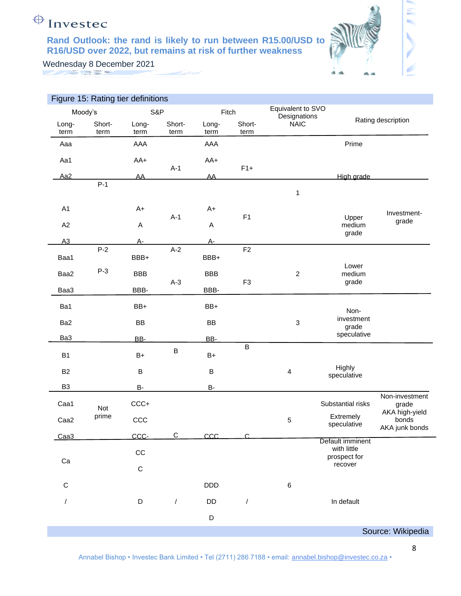**Rand Outlook: the rand is likely to run between R15.00/USD to R16/USD over 2022, but remains at risk of further weakness**



Wednesday 8 December 2021

|                  | Figure 15: Rating tier definitions |               |                |               |                |                                   |                                                 |                         |
|------------------|------------------------------------|---------------|----------------|---------------|----------------|-----------------------------------|-------------------------------------------------|-------------------------|
| Moody's          |                                    | S&P           |                | Fitch         |                | Equivalent to SVO<br>Designations |                                                 |                         |
| Long-<br>term    | Short-<br>term                     | Long-<br>term | Short-<br>term | Long-<br>term | Short-<br>term | <b>NAIC</b>                       |                                                 | Rating description      |
| Aaa              |                                    | AAA           |                | AAA           |                |                                   | Prime                                           |                         |
| Aa1              |                                    | AA+           |                | AA+           |                |                                   |                                                 |                         |
| Aa <sub>2</sub>  |                                    | AA            | $A-1$          | AA            | $F1+$          |                                   | High grade                                      |                         |
|                  | $P-1$                              |               |                |               |                | $\mathbf 1$                       |                                                 |                         |
|                  |                                    |               |                |               |                |                                   |                                                 |                         |
| A1               |                                    | $A+$          | $A-1$          | $A+$          | F1             |                                   | Upper                                           | Investment-             |
| A2               |                                    | Α             |                | Α             |                |                                   | medium<br>grade                                 | grade                   |
| A3               | $P-2$                              | $A-$          |                | A-            | F2             |                                   |                                                 |                         |
| Baa1             |                                    | BBB+          | $A-2$          | BBB+          |                |                                   |                                                 |                         |
| Baa2             | $P-3$                              | <b>BBB</b>    |                | <b>BBB</b>    |                | $\sqrt{2}$                        | Lower<br>medium                                 |                         |
|                  |                                    |               | $A-3$          |               | F <sub>3</sub> |                                   | grade                                           |                         |
| Baa3             |                                    | BBB-          |                | BBB-          |                |                                   |                                                 |                         |
| Ba1              |                                    | BB+           |                | BB+           |                |                                   | Non-                                            |                         |
| Ba <sub>2</sub>  |                                    | <b>BB</b>     |                | BB            |                | $\mathbf{3}$                      | investment<br>grade                             |                         |
| Ba3              |                                    | BB-           |                | BB-           |                |                                   | speculative                                     |                         |
| B <sub>1</sub>   |                                    | $B+$          | $\sf B$        | $B+$          | $\sf B$        |                                   |                                                 |                         |
| <b>B2</b>        |                                    | B             |                | B             |                | $\overline{\mathbf{4}}$           | Highly<br>speculative                           |                         |
| B <sub>3</sub>   |                                    | $B-$          |                | $B-$          |                |                                   |                                                 |                         |
| Caa1             | Not                                | $CCC +$       |                |               |                |                                   | Substantial risks                               | Non-investment<br>grade |
| Caa2             | prime                              | CCC           |                |               |                | 5                                 | Extremely<br>speculative                        | AKA high-yield<br>bonds |
| Caa <sub>3</sub> |                                    | CCC-          | C              | CCC           | ◠              |                                   |                                                 | AKA junk bonds          |
|                  |                                    | $_{\rm CC}$   |                |               |                |                                   | Default imminent<br>with little<br>prospect for |                         |
| Ca               |                                    | $\mathsf C$   |                |               |                |                                   | recover                                         |                         |
| $\mathsf C$      |                                    |               |                | <b>DDD</b>    |                | $\,6\,$                           |                                                 |                         |
|                  |                                    | D             |                | DD            |                |                                   | In default                                      |                         |
|                  |                                    |               |                | D             |                |                                   |                                                 |                         |
|                  |                                    |               |                |               |                |                                   |                                                 | Source: Wikipedia       |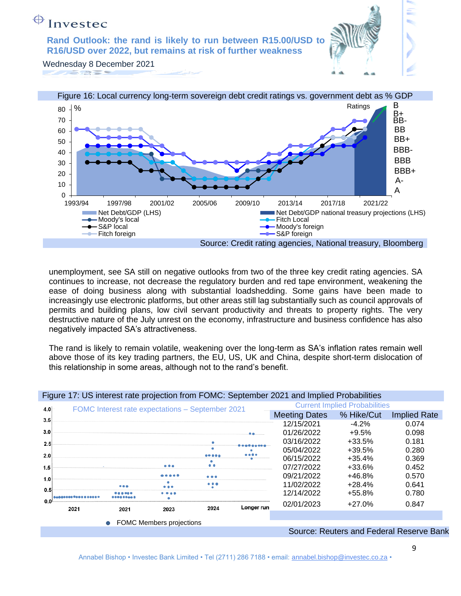# $\bigoplus$  Investec **Rand Outlook: the rand is likely to run between R15.00/USD to R16/USD over 2022, but remains at risk of further weakness** Wednesday 8 December 2021



unemployment, see SA still on negative outlooks from two of the three key credit rating agencies. SA continues to increase, not decrease the regulatory burden and red tape environment, weakening the ease of doing business along with substantial loadshedding. Some gains have been made to increasingly use electronic platforms, but other areas still lag substantially such as council approvals of permits and building plans, low civil servant productivity and threats to property rights. The very destructive nature of the July unrest on the economy, infrastructure and business confidence has also negatively impacted SA's attractiveness.

The rand is likely to remain volatile, weakening over the long-term as SA's inflation rates remain well above those of its key trading partners, the EU, US, UK and China, despite short-term dislocation of this relationship in some areas, although not to the rand's benefit.

|     |      |           |                                                              |                                                                             |                                | Figure 17: US interest rate projection from FOMC: September 2021 and implied Probabilities |                                      |                     |
|-----|------|-----------|--------------------------------------------------------------|-----------------------------------------------------------------------------|--------------------------------|--------------------------------------------------------------------------------------------|--------------------------------------|---------------------|
| 4.0 |      |           | FOMC Interest rate expectations – September 2021             |                                                                             |                                |                                                                                            | <b>Current Implied Probabilities</b> |                     |
|     |      |           |                                                              |                                                                             |                                | <b>Meeting Dates</b>                                                                       | % Hike/Cut                           | <b>Implied Rate</b> |
| 3.5 |      |           |                                                              |                                                                             |                                | 12/15/2021                                                                                 | $-4.2%$                              | 0.074               |
| 3.0 |      |           |                                                              |                                                                             | 0.41                           | 01/26/2022                                                                                 | $+9.5%$                              | 0.098               |
| 2.5 |      |           |                                                              |                                                                             | 9-a-0-a-a-4                    | 03/16/2022                                                                                 | $+33.5%$                             | 0.181               |
|     |      |           |                                                              | ۰                                                                           | $\bullet\bullet\bullet\bullet$ | 05/04/2022                                                                                 | $+39.5%$                             | 0.280               |
| 2.0 |      |           |                                                              |                                                                             |                                | 06/15/2022                                                                                 | $+35.4%$                             | 0.369               |
| 1.5 |      |           | $\bullet\bullet\bullet$                                      | $\bullet$                                                                   |                                | 07/27/2022                                                                                 | +33.6%                               | 0.452               |
| 1.0 |      |           |                                                              | $\bullet\hspace{0.1cm} \bullet\hspace{0.1cm} \bullet\hspace{0.1cm} \bullet$ |                                | 09/21/2022                                                                                 | $+46.8%$                             | 0.570               |
| 0.5 |      | 0.0.0     | $\begin{array}{ccc} \bullet & \bullet & \bullet \end{array}$ | $\bullet$ $\bullet$ $\bullet$                                               |                                | 11/02/2022                                                                                 | $+28.4%$                             | 0.641               |
|     | .    |           | $\bullet\bullet\bullet\bullet$                               |                                                                             |                                | 12/14/2022                                                                                 | $+55.8%$                             | 0.780               |
| 0.0 | 2021 | 2021      | 2023                                                         | 2024                                                                        | Longer run                     | 02/01/2023                                                                                 | $+27.0%$                             | 0.847               |
|     |      | $\bullet$ | <b>FOMC Members projections</b>                              |                                                                             |                                |                                                                                            |                                      |                     |

#### Figure 17: US interest rate projection from FOMC: September 2021 and Implied Probabilities

#### Source: Reuters and Federal Reserve Bank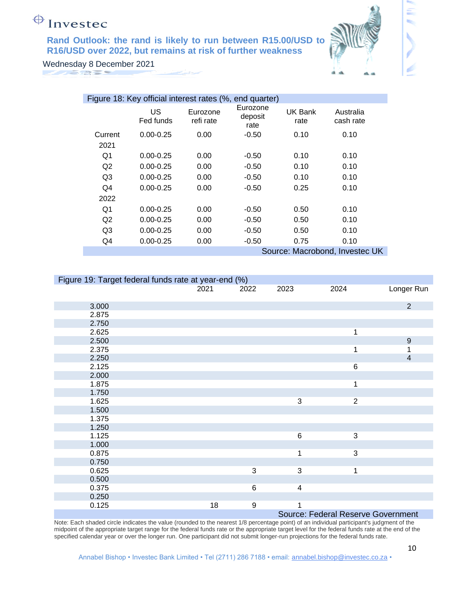**Rand Outlook: the rand is likely to run between R15.00/USD to R16/USD over 2022, but remains at risk of further weakness**



Wednesday 8 December 2021

|                | Figure 18: Key official interest rates (%, end quarter) |                       |                             |                 |                                |  |
|----------------|---------------------------------------------------------|-----------------------|-----------------------------|-----------------|--------------------------------|--|
|                | US<br>Fed funds                                         | Eurozone<br>refi rate | Eurozone<br>deposit<br>rate | UK Bank<br>rate | Australia<br>cash rate         |  |
| Current        | $0.00 - 0.25$                                           | 0.00                  | $-0.50$                     | 0.10            | 0.10                           |  |
| 2021           |                                                         |                       |                             |                 |                                |  |
| Q1             | $0.00 - 0.25$                                           | 0.00                  | $-0.50$                     | 0.10            | 0.10                           |  |
| Q2             | $0.00 - 0.25$                                           | 0.00                  | $-0.50$                     | 0.10            | 0.10                           |  |
| Q <sub>3</sub> | $0.00 - 0.25$                                           | 0.00                  | $-0.50$                     | 0.10            | 0.10                           |  |
| Q4             | $0.00 - 0.25$                                           | 0.00                  | $-0.50$                     | 0.25            | 0.10                           |  |
| 2022           |                                                         |                       |                             |                 |                                |  |
| Q1             | $0.00 - 0.25$                                           | 0.00                  | $-0.50$                     | 0.50            | 0.10                           |  |
| Q2             | $0.00 - 0.25$                                           | 0.00                  | $-0.50$                     | 0.50            | 0.10                           |  |
| Q <sub>3</sub> | $0.00 - 0.25$                                           | 0.00                  | $-0.50$                     | 0.50            | 0.10                           |  |
| Q4             | $0.00 - 0.25$                                           | 0.00                  | $-0.50$                     | 0.75            | 0.10                           |  |
|                |                                                         |                       |                             |                 | Source: Macrobond, Investec UK |  |
|                |                                                         |                       |                             |                 |                                |  |

| Figure 19: Target federal funds rate at year-end (%) |      |                  |                          |                                    |                  |
|------------------------------------------------------|------|------------------|--------------------------|------------------------------------|------------------|
|                                                      | 2021 | 2022             | 2023                     | 2024                               | Longer Run       |
|                                                      |      |                  |                          |                                    |                  |
| 3.000                                                |      |                  |                          |                                    | $\overline{2}$   |
| 2.875                                                |      |                  |                          |                                    |                  |
| 2.750                                                |      |                  |                          |                                    |                  |
| 2.625                                                |      |                  |                          | 1                                  |                  |
| 2.500                                                |      |                  |                          |                                    | $\boldsymbol{9}$ |
| 2.375                                                |      |                  |                          | 1                                  | 1                |
| 2.250                                                |      |                  |                          |                                    | $\overline{4}$   |
| 2.125                                                |      |                  |                          | $6\phantom{1}6$                    |                  |
| 2.000                                                |      |                  |                          |                                    |                  |
| 1.875                                                |      |                  |                          | 1                                  |                  |
| 1.750                                                |      |                  |                          |                                    |                  |
| 1.625                                                |      |                  | $\mathfrak{S}$           | $\overline{2}$                     |                  |
| 1.500                                                |      |                  |                          |                                    |                  |
| 1.375                                                |      |                  |                          |                                    |                  |
| 1.250                                                |      |                  |                          |                                    |                  |
| 1.125                                                |      |                  | $\,6$                    | $\overline{3}$                     |                  |
| 1.000                                                |      |                  |                          |                                    |                  |
| 0.875                                                |      |                  | 1                        | $\mathfrak{S}$                     |                  |
| 0.750                                                |      |                  |                          |                                    |                  |
| 0.625                                                |      | 3                | $\mathfrak{S}$           | 1                                  |                  |
| 0.500                                                |      |                  |                          |                                    |                  |
| 0.375                                                |      | $\,6\,$          | $\overline{\mathcal{A}}$ |                                    |                  |
| 0.250                                                |      |                  |                          |                                    |                  |
| 0.125                                                | 18   | $\boldsymbol{9}$ |                          |                                    |                  |
|                                                      |      |                  |                          | Course: Federal Desemie Coustament |                  |

Source: Federal Reserve Government

Note: Each shaded circle indicates the value (rounded to the nearest 1/8 percentage point) of an individual participant's judgment of the midpoint of the appropriate target range for the federal funds rate or the appropriate target level for the federal funds rate at the end of the specified calendar year or over the longer run. One participant did not submit longer-run projections for the federal funds rate.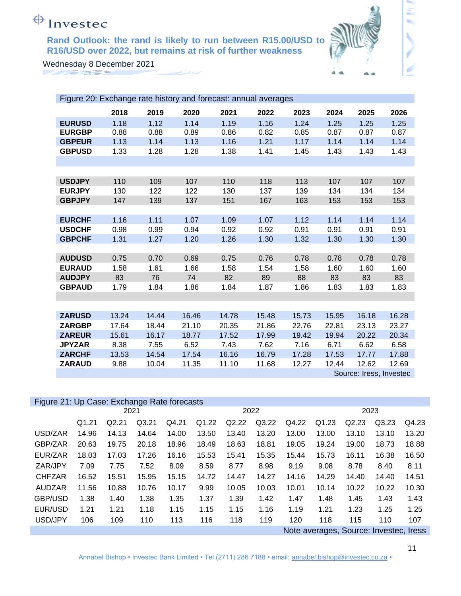**Rand Outlook: the rand is likely to run between R15.00/USD to R16/USD over 2022, but remains at risk of further weakness**



Wednesday 8 December 2021

| Figure 20: Exchange rate history and forecast: annual averages |       |       |       |       |       |       |       |                         |       |
|----------------------------------------------------------------|-------|-------|-------|-------|-------|-------|-------|-------------------------|-------|
|                                                                | 2018  | 2019  | 2020  | 2021  | 2022  | 2023  | 2024  | 2025                    | 2026  |
| <b>EURUSD</b>                                                  | 1.18  | 1.12  | 1.14  | 1.19  | 1.16  | 1.24  | 1.25  | 1.25                    | 1.25  |
| <b>EURGBP</b>                                                  | 0.88  | 0.88  | 0.89  | 0.86  | 0.82  | 0.85  | 0.87  | 0.87                    | 0.87  |
| <b>GBPEUR</b>                                                  | 1.13  | 1.14  | 1.13  | 1.16  | 1.21  | 1.17  | 1.14  | 1.14                    | 1.14  |
| <b>GBPUSD</b>                                                  | 1.33  | 1.28  | 1.28  | 1.38  | 1.41  | 1.45  | 1.43  | 1.43                    | 1.43  |
|                                                                |       |       |       |       |       |       |       |                         |       |
|                                                                |       |       |       |       |       |       |       |                         |       |
| <b>USDJPY</b>                                                  | 110   | 109   | 107   | 110   | 118   | 113   | 107   | 107                     | 107   |
| <b>EURJPY</b>                                                  | 130   | 122   | 122   | 130   | 137   | 139   | 134   | 134                     | 134   |
| <b>GBPJPY</b>                                                  | 147   | 139   | 137   | 151   | 167   | 163   | 153   | 153                     | 153   |
|                                                                |       |       |       |       |       |       |       |                         |       |
| <b>EURCHF</b>                                                  | 1.16  | 1.11  | 1.07  | 1.09  | 1.07  | 1.12  | 1.14  | 1.14                    | 1.14  |
| <b>USDCHF</b>                                                  | 0.98  | 0.99  | 0.94  | 0.92  | 0.92  | 0.91  | 0.91  | 0.91                    | 0.91  |
| <b>GBPCHF</b>                                                  | 1.31  | 1.27  | 1.20  | 1.26  | 1.30  | 1.32  | 1.30  | 1.30                    | 1.30  |
|                                                                |       |       |       |       |       |       |       |                         |       |
| <b>AUDUSD</b>                                                  | 0.75  | 0.70  | 0.69  | 0.75  | 0.76  | 0.78  | 0.78  | 0.78                    | 0.78  |
| <b>EURAUD</b>                                                  | 1.58  | 1.61  | 1.66  | 1.58  | 1.54  | 1.58  | 1.60  | 1.60                    | 1.60  |
| <b>AUDJPY</b>                                                  | 83    | 76    | 74    | 82    | 89    | 88    | 83    | 83                      | 83    |
| <b>GBPAUD</b>                                                  | 1.79  | 1.84  | 1.86  | 1.84  | 1.87  | 1.86  | 1.83  | 1.83                    | 1.83  |
|                                                                |       |       |       |       |       |       |       |                         |       |
|                                                                |       |       |       |       |       |       |       |                         |       |
| <b>ZARUSD</b>                                                  | 13.24 | 14.44 | 16.46 | 14.78 | 15.48 | 15.73 | 15.95 | 16.18                   | 16.28 |
| <b>ZARGBP</b>                                                  | 17.64 | 18.44 | 21.10 | 20.35 | 21.86 | 22.76 | 22.81 | 23.13                   | 23.27 |
| <b>ZAREUR</b>                                                  | 15.61 | 16.17 | 18.77 | 17.52 | 17.99 | 19.42 | 19.94 | 20.22                   | 20.34 |
| <b>JPYZAR</b>                                                  | 8.38  | 7.55  | 6.52  | 7.43  | 7.62  | 7.16  | 6.71  | 6.62                    | 6.58  |
| <b>ZARCHF</b>                                                  | 13.53 | 14.54 | 17.54 | 16.16 | 16.79 | 17.28 | 17.53 | 17.77                   | 17.88 |
| <b>ZARAUD</b>                                                  | 9.88  | 10.04 | 11.35 | 11.10 | 11.68 | 12.27 | 12.44 | 12.62                   | 12.69 |
|                                                                |       |       |       |       |       |       |       | Source: Iress, Investec |       |

| Figure 21: Up Case: Exchange Rate forecasts |                   |       |       |       |       |       |       |       |                   |       |                                        |       |
|---------------------------------------------|-------------------|-------|-------|-------|-------|-------|-------|-------|-------------------|-------|----------------------------------------|-------|
|                                             |                   | 2021  |       |       |       |       | 2022  |       |                   | 2023  |                                        |       |
|                                             | Q <sub>1.21</sub> | Q2.21 | Q3.21 | Q4.21 | Q1.22 | Q2.22 | Q3.22 | Q4.22 | Q <sub>1.23</sub> | Q2.23 | Q3.23                                  | Q4.23 |
| USD/ZAR                                     | 14.96             | 14.13 | 14.64 | 14.00 | 13.50 | 13.40 | 13.20 | 13.00 | 13.00             | 13.10 | 13.10                                  | 13.20 |
| GBP/ZAR                                     | 20.63             | 19.75 | 20.18 | 18.96 | 18.49 | 18.63 | 18.81 | 19.05 | 19.24             | 19.00 | 18.73                                  | 18.88 |
| EUR/ZAR                                     | 18.03             | 17.03 | 17.26 | 16.16 | 15.53 | 15.41 | 15.35 | 15.44 | 15.73             | 16.11 | 16.38                                  | 16.50 |
| ZAR/JPY                                     | 7.09              | 7.75  | 7.52  | 8.09  | 8.59  | 8.77  | 8.98  | 9.19  | 9.08              | 8.78  | 8.40                                   | 8.11  |
| <b>CHFZAR</b>                               | 16.52             | 15.51 | 15.95 | 15.15 | 14.72 | 14.47 | 14.27 | 14.16 | 14.29             | 14.40 | 14.40                                  | 14.51 |
| <b>AUDZAR</b>                               | 11.56             | 10.88 | 10.76 | 10.17 | 9.99  | 10.05 | 10.03 | 10.01 | 10.14             | 10.22 | 10.22                                  | 10.30 |
| GBP/USD                                     | 1.38              | 1.40  | 1.38  | 1.35  | 1.37  | 1.39  | 1.42  | 1.47  | 1.48              | 1.45  | 1.43                                   | 1.43  |
| EUR/USD                                     | 1.21              | 1.21  | 1.18  | 1.15  | 1.15  | 1.15  | 1.16  | 1.19  | 1.21              | 1.23  | 1.25                                   | 1.25  |
| USD/JPY                                     | 106               | 109   | 110   | 113   | 116   | 118   | 119   | 120   | 118               | 115   | 110                                    | 107   |
|                                             |                   |       |       |       |       |       |       |       |                   |       | Note averages, Source: Investes, Iross |       |

Note averages, Source: Investec, Iress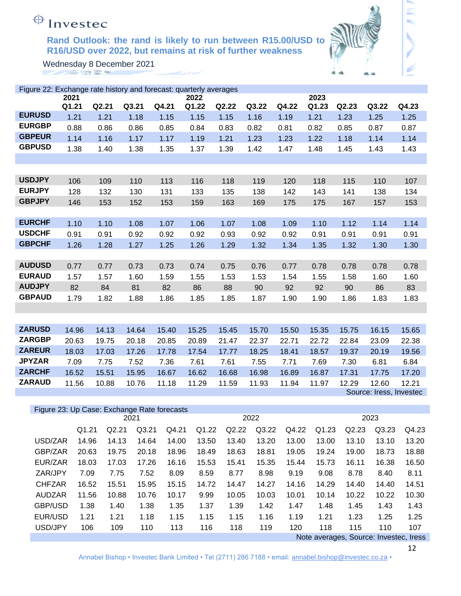**Rand Outlook: the rand is likely to run between R15.00/USD to R16/USD over 2022, but remains at risk of further weakness**



Wednesday 8 December 2021

| Figure 22: Exchange rate history and forecast: quarterly averages | 2021  |       |       |       | 2022  |       |       |       | 2023  |       |                         |       |
|-------------------------------------------------------------------|-------|-------|-------|-------|-------|-------|-------|-------|-------|-------|-------------------------|-------|
|                                                                   | Q1.21 | Q2.21 | Q3.21 | Q4.21 | Q1.22 | Q2.22 | Q3.22 | Q4.22 | Q1.23 | Q2.23 | Q3.22                   | Q4.23 |
| <b>EURUSD</b>                                                     | 1.21  | 1.21  | 1.18  | 1.15  | 1.15  | 1.15  | 1.16  | 1.19  | 1.21  | 1.23  | 1.25                    | 1.25  |
| <b>EURGBP</b>                                                     | 0.88  | 0.86  | 0.86  | 0.85  | 0.84  | 0.83  | 0.82  | 0.81  | 0.82  | 0.85  | 0.87                    | 0.87  |
| <b>GBPEUR</b>                                                     | 1.14  | 1.16  | 1.17  | 1.17  | 1.19  | 1.21  | 1.23  | 1.23  | 1.22  | 1.18  | 1.14                    | 1.14  |
| <b>GBPUSD</b>                                                     | 1.38  | 1.40  | 1.38  | 1.35  | 1.37  | 1.39  | 1.42  | 1.47  | 1.48  | 1.45  | 1.43                    | 1.43  |
|                                                                   |       |       |       |       |       |       |       |       |       |       |                         |       |
|                                                                   |       |       |       |       |       |       |       |       |       |       |                         |       |
| <b>USDJPY</b>                                                     | 106   | 109   | 110   | 113   | 116   | 118   | 119   | 120   | 118   | 115   | 110                     | 107   |
| <b>EURJPY</b>                                                     | 128   | 132   | 130   | 131   | 133   | 135   | 138   | 142   | 143   | 141   | 138                     | 134   |
| <b>GBPJPY</b>                                                     | 146   | 153   | 152   | 153   | 159   | 163   | 169   | 175   | 175   | 167   | 157                     | 153   |
|                                                                   |       |       |       |       |       |       |       |       |       |       |                         |       |
| <b>EURCHF</b>                                                     | 1.10  | 1.10  | 1.08  | 1.07  | 1.06  | 1.07  | 1.08  | 1.09  | 1.10  | 1.12  | 1.14                    | 1.14  |
| <b>USDCHF</b>                                                     | 0.91  | 0.91  | 0.92  | 0.92  | 0.92  | 0.93  | 0.92  | 0.92  | 0.91  | 0.91  | 0.91                    | 0.91  |
| <b>GBPCHF</b>                                                     | 1.26  | 1.28  | 1.27  | 1.25  | 1.26  | 1.29  | 1.32  | 1.34  | 1.35  | 1.32  | 1.30                    | 1.30  |
|                                                                   |       |       |       |       |       |       |       |       |       |       |                         |       |
| <b>AUDUSD</b>                                                     | 0.77  | 0.77  | 0.73  | 0.73  | 0.74  | 0.75  | 0.76  | 0.77  | 0.78  | 0.78  | 0.78                    | 0.78  |
| <b>EURAUD</b>                                                     | 1.57  | 1.57  | 1.60  | 1.59  | 1.55  | 1.53  | 1.53  | 1.54  | 1.55  | 1.58  | 1.60                    | 1.60  |
| <b>AUDJPY</b>                                                     | 82    | 84    | 81    | 82    | 86    | 88    | 90    | 92    | 92    | 90    | 86                      | 83    |
| <b>GBPAUD</b>                                                     | 1.79  | 1.82  | 1.88  | 1.86  | 1.85  | 1.85  | 1.87  | 1.90  | 1.90  | 1.86  | 1.83                    | 1.83  |
|                                                                   |       |       |       |       |       |       |       |       |       |       |                         |       |
|                                                                   |       |       |       |       |       |       |       |       |       |       |                         |       |
| <b>ZARUSD</b>                                                     | 14.96 | 14.13 | 14.64 | 15.40 | 15.25 | 15.45 | 15.70 | 15.50 | 15.35 | 15.75 | 16.15                   | 15.65 |
| <b>ZARGBP</b>                                                     | 20.63 | 19.75 | 20.18 | 20.85 | 20.89 | 21.47 | 22.37 | 22.71 | 22.72 | 22.84 | 23.09                   | 22.38 |
| <b>ZAREUR</b>                                                     | 18.03 | 17.03 | 17.26 | 17.78 | 17.54 | 17.77 | 18.25 | 18.41 | 18.57 | 19.37 | 20.19                   | 19.56 |
| <b>JPYZAR</b>                                                     | 7.09  | 7.75  | 7.52  | 7.36  | 7.61  | 7.61  | 7.55  | 7.71  | 7.69  | 7.30  | 6.81                    | 6.84  |
| <b>ZARCHF</b>                                                     | 16.52 | 15.51 | 15.95 | 16.67 | 16.62 | 16.68 | 16.98 | 16.89 | 16.87 | 17.31 | 17.75                   | 17.20 |
| <b>ZARAUD</b>                                                     | 11.56 | 10.88 | 10.76 | 11.18 | 11.29 | 11.59 | 11.93 | 11.94 | 11.97 | 12.29 | 12.60                   | 12.21 |
|                                                                   |       |       |       |       |       |       |       |       |       |       | Source: Iress, Investec |       |

| Figure 23: Up Case: Exchange Rate forecasts |               |                   |       |       |       |       |       |       |       |                |       |                       |       |
|---------------------------------------------|---------------|-------------------|-------|-------|-------|-------|-------|-------|-------|----------------|-------|-----------------------|-------|
|                                             |               |                   |       | 2021  |       | 2022  |       |       |       | 2023           |       |                       |       |
|                                             |               | Q <sub>1.21</sub> | Q2.21 | Q3.21 | Q4.21 | Q1.22 | Q2.22 | Q3.22 | Q4.22 | Q1.23          | Q2.23 | Q3.23                 | Q4.23 |
|                                             | USD/ZAR       | 14.96             | 14.13 | 14.64 | 14.00 | 13.50 | 13.40 | 13.20 | 13.00 | 13.00          | 13.10 | 13.10                 | 13.20 |
|                                             | GBP/ZAR       | 20.63             | 19.75 | 20.18 | 18.96 | 18.49 | 18.63 | 18.81 | 19.05 | 19.24          | 19.00 | 18.73                 | 18.88 |
|                                             | EUR/ZAR       | 18.03             | 17.03 | 17.26 | 16.16 | 15.53 | 15.41 | 15.35 | 15.44 | 15.73          | 16.11 | 16.38                 | 16.50 |
|                                             | ZAR/JPY       | 7.09              | 7.75  | 7.52  | 8.09  | 8.59  | 8.77  | 8.98  | 9.19  | 9.08           | 8.78  | 8.40                  | 8.11  |
|                                             | <b>CHFZAR</b> | 16.52             | 15.51 | 15.95 | 15.15 | 14.72 | 14.47 | 14.27 | 14.16 | 14.29          | 14.40 | 14.40                 | 14.51 |
|                                             | <b>AUDZAR</b> | 11.56             | 10.88 | 10.76 | 10.17 | 9.99  | 10.05 | 10.03 | 10.01 | 10.14          | 10.22 | 10.22                 | 10.30 |
|                                             | GBP/USD       | 1.38              | 1.40  | 1.38  | 1.35  | 1.37  | 1.39  | 1.42  | 1.47  | 1.48           | 1.45  | 1.43                  | 1.43  |
|                                             | EUR/USD       | 1.21              | 1.21  | 1.18  | 1.15  | 1.15  | 1.15  | 1.16  | 1.19  | 1.21           | 1.23  | 1.25                  | 1.25  |
|                                             | USD/JPY       | 106               | 109   | 110   | 113   | 116   | 118   | 119   | 120   | 118            | 115   | 110                   | 107   |
|                                             |               |                   |       |       |       |       |       |       |       | Nata accordona |       | Causan Isusalas Isaac |       |

Note averages, Source: Investec, Iress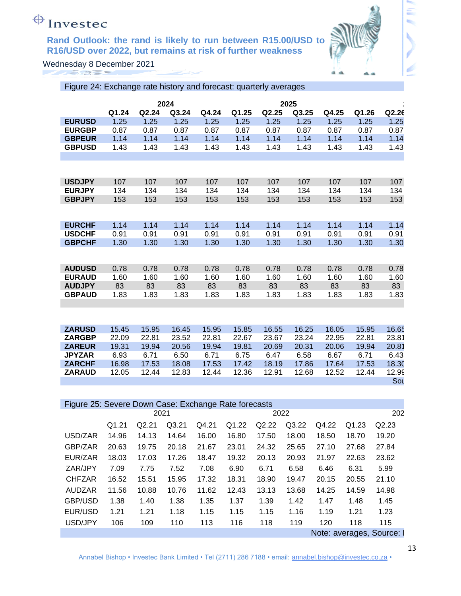**Rand Outlook: the rand is likely to run between R15.00/USD to R16/USD over 2022, but remains at risk of further weakness**



Wednesday 8 December 2021

| Figure 24: Exchange rate history and forecast: quarterly averages |       |                                                       |       |       |       |       |       |                     |           |                |
|-------------------------------------------------------------------|-------|-------------------------------------------------------|-------|-------|-------|-------|-------|---------------------|-----------|----------------|
|                                                                   |       |                                                       | 2024  |       |       |       | 2025  |                     |           |                |
|                                                                   | Q1.24 | Q2.24                                                 | Q3.24 | Q4.24 | Q1.25 | Q2.25 | Q3.25 | Q4.25               | Q1.26     | Q2.26          |
| <b>EURUSD</b>                                                     | 1.25  | 1.25                                                  | 1.25  | 1.25  | 1.25  | 1.25  | 1.25  | 1.25                | 1.25      | 1.25           |
| <b>EURGBP</b>                                                     | 0.87  | 0.87                                                  | 0.87  | 0.87  | 0.87  | 0.87  | 0.87  | 0.87                | 0.87      | 0.87           |
| <b>GBPEUR</b>                                                     | 1.14  | 1.14                                                  | 1.14  | 1.14  | 1.14  | 1.14  | 1.14  | 1.14                | 1.14      | 1.14           |
| <b>GBPUSD</b>                                                     | 1.43  | 1.43                                                  | 1.43  | 1.43  | 1.43  | 1.43  | 1.43  | 1.43                | 1.43      | 1.43           |
|                                                                   |       |                                                       |       |       |       |       |       |                     |           |                |
|                                                                   |       |                                                       |       |       |       |       |       |                     |           |                |
|                                                                   |       |                                                       |       |       |       |       |       |                     |           |                |
| <b>USDJPY</b>                                                     | 107   | 107                                                   | 107   | 107   | 107   | 107   | 107   | 107                 | 107       | 107            |
| <b>EURJPY</b>                                                     | 134   | 134                                                   | 134   | 134   | 134   | 134   | 134   | 134                 | 134       | 134            |
| <b>GBPJPY</b>                                                     | 153   | 153                                                   | 153   | 153   | 153   | 153   | 153   | 153                 | 153       | 153            |
|                                                                   |       |                                                       |       |       |       |       |       |                     |           |                |
|                                                                   |       |                                                       |       |       |       |       |       |                     |           |                |
| <b>EURCHF</b>                                                     | 1.14  | 1.14                                                  | 1.14  | 1.14  | 1.14  | 1.14  | 1.14  | 1.14                | 1.14      | 1.14           |
| <b>USDCHF</b>                                                     | 0.91  | 0.91                                                  | 0.91  | 0.91  | 0.91  | 0.91  | 0.91  | 0.91                | 0.91      | 0.91           |
| <b>GBPCHF</b>                                                     | 1.30  | 1.30                                                  | 1.30  | 1.30  | 1.30  | 1.30  | 1.30  | 1.30                | 1.30      | 1.30           |
|                                                                   |       |                                                       |       |       |       |       |       |                     |           |                |
|                                                                   |       |                                                       |       |       |       |       |       |                     |           |                |
| <b>AUDUSD</b>                                                     | 0.78  | 0.78                                                  | 0.78  | 0.78  | 0.78  | 0.78  | 0.78  | 0.78                | 0.78      | 0.78           |
| <b>EURAUD</b>                                                     | 1.60  | 1.60                                                  | 1.60  | 1.60  | 1.60  | 1.60  | 1.60  | 1.60                | 1.60      | 1.60           |
| <b>AUDJPY</b>                                                     | 83    | 83                                                    | 83    | 83    | 83    | 83    | 83    | 83                  | 83        | 83             |
| <b>GBPAUD</b>                                                     | 1.83  | 1.83                                                  | 1.83  | 1.83  | 1.83  | 1.83  | 1.83  | 1.83                | 1.83      | 1.83           |
|                                                                   |       |                                                       |       |       |       |       |       |                     |           |                |
|                                                                   |       |                                                       |       |       |       |       |       |                     |           |                |
|                                                                   |       |                                                       |       |       |       |       |       |                     |           |                |
| <b>ZARUSD</b>                                                     | 15.45 | 15.95                                                 | 16.45 | 15.95 | 15.85 | 16.55 | 16.25 | 16.05               | 15.95     | 16.65          |
| <b>ZARGBP</b>                                                     | 22.09 | 22.81                                                 | 23.52 | 22.81 | 22.67 | 23.67 | 23.24 | 22.95               | 22.81     | 23.81          |
| <b>ZAREUR</b>                                                     | 19.31 | 19.94                                                 | 20.56 | 19.94 | 19.81 | 20.69 | 20.31 | 20.06               | 19.94     | 20.81          |
| <b>JPYZAR</b>                                                     | 6.93  | 6.71                                                  | 6.50  | 6.71  | 6.75  | 6.47  | 6.58  | 6.67                | 6.71      | 6.43           |
| <b>ZARCHF</b>                                                     | 16.98 | 17.53<br>12.44                                        | 18.08 | 17.53 | 17.42 | 18.19 | 17.86 | 17.64               | 17.53     | 18.30<br>12.99 |
| <b>ZARAUD</b>                                                     | 12.05 |                                                       | 12.83 | 12.44 | 12.36 | 12.91 | 12.68 | 12.52               | 12.44     |                |
|                                                                   |       |                                                       |       |       |       |       |       |                     |           | Sou            |
|                                                                   |       |                                                       |       |       |       |       |       |                     |           |                |
| Figure 25: Severe Down Case: Exchange Rate forecasts              |       |                                                       |       |       |       |       |       |                     |           |                |
|                                                                   |       | 2021                                                  |       |       |       | 2022  |       |                     |           | 202            |
|                                                                   |       | $0.121$ $0.21$ $0.21$ $0.121$ $0.122$ $0.222$ $0.222$ |       |       |       |       |       | $\bigcap$ $\bigcap$ | $\sim$ 00 | $\sim$         |

|               | Q1.21                        | Q2.21 | Q3.21 | Q4.21 |       | Q1.22 Q2.22 Q3.22 |       |       | Q4.22 Q1.23 Q2.23 |       |
|---------------|------------------------------|-------|-------|-------|-------|-------------------|-------|-------|-------------------|-------|
| USD/ZAR       | 14.96                        | 14.13 | 14.64 | 16.00 | 16.80 | 17.50             | 18.00 | 18.50 | 18.70             | 19.20 |
| GBP/ZAR       | 20.63                        | 19.75 | 20.18 | 21.67 | 23.01 | 24.32             | 25.65 | 27.10 | 27.68             | 27.84 |
| EUR/ZAR       | 18.03                        | 17.03 | 17.26 | 18.47 | 19.32 | 20.13             | 20.93 | 21.97 | 22.63             | 23.62 |
| ZAR/JPY       | 7.09                         | 7.75  | 7.52  | 7.08  | 6.90  | 6.71              | 6.58  | 6.46  | 6.31              | 5.99  |
| <b>CHFZAR</b> | 16.52                        | 15.51 | 15.95 | 17.32 | 18.31 | 18.90             | 19.47 | 20.15 | 20.55             | 21.10 |
| AUDZAR        | 11.56                        | 10.88 | 10.76 | 11.62 | 12.43 | 13.13             | 13.68 | 14.25 | 14.59             | 14.98 |
| GBP/USD       | 1.38                         | 1.40  | 1.38  | 1.35  | 1.37  | 1.39              | 1.42  | 1.47  | 1.48              | 1.45  |
| EUR/USD       | 1.21                         | 1.21  | 1.18  | 1.15  | 1.15  | 1.15              | 1.16  | 1.19  | 1.21              | 1.23  |
| USD/JPY       | 106                          | 109   | 110   | 113   | 116   | 118               | 119   | 120   | 118               | 115   |
|               | Matas assamente o Octobre di |       |       |       |       |                   |       |       |                   |       |

Note: averages, Source: I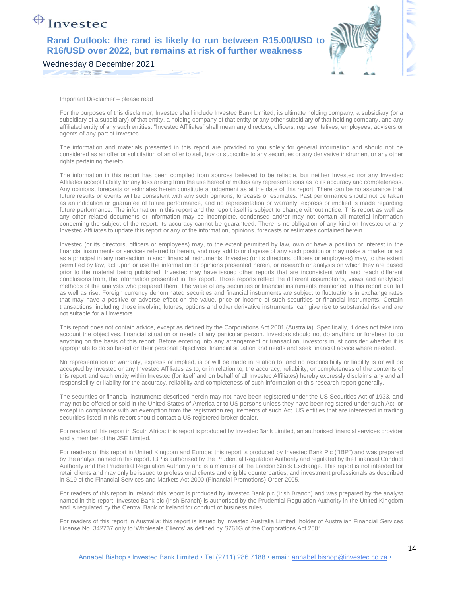### **Rand Outlook: the rand is likely to run between R15.00/USD to R16/USD over 2022, but remains at risk of further weakness**

Wednesday 8 December 2021

Invested

Important Disclaimer – please read

For the purposes of this disclaimer, Investec shall include Investec Bank Limited, its ultimate holding company, a subsidiary (or a subsidiary of a subsidiary) of that entity, a holding company of that entity or any other subsidiary of that holding company, and any affiliated entity of any such entities. "Investec Affiliates" shall mean any directors, officers, representatives, employees, advisers or agents of any part of Investec.

The information and materials presented in this report are provided to you solely for general information and should not be considered as an offer or solicitation of an offer to sell, buy or subscribe to any securities or any derivative instrument or any other rights pertaining thereto.

The information in this report has been compiled from sources believed to be reliable, but neither Investec nor any Investec Affiliates accept liability for any loss arising from the use hereof or makes any representations as to its accuracy and completeness. Any opinions, forecasts or estimates herein constitute a judgement as at the date of this report. There can be no assurance that future results or events will be consistent with any such opinions, forecasts or estimates. Past performance should not be taken as an indication or guarantee of future performance, and no representation or warranty, express or implied is made regarding future performance. The information in this report and the report itself is subject to change without notice. This report as well as any other related documents or information may be incomplete, condensed and/or may not contain all material information concerning the subject of the report; its accuracy cannot be guaranteed. There is no obligation of any kind on Investec or any Investec Affiliates to update this report or any of the information, opinions, forecasts or estimates contained herein.

Investec (or its directors, officers or employees) may, to the extent permitted by law, own or have a position or interest in the financial instruments or services referred to herein, and may add to or dispose of any such position or may make a market or act as a principal in any transaction in such financial instruments. Investec (or its directors, officers or employees) may, to the extent permitted by law, act upon or use the information or opinions presented herein, or research or analysis on which they are based prior to the material being published. Investec may have issued other reports that are inconsistent with, and reach different conclusions from, the information presented in this report. Those reports reflect the different assumptions, views and analytical methods of the analysts who prepared them. The value of any securities or financial instruments mentioned in this report can fall as well as rise. Foreign currency denominated securities and financial instruments are subject to fluctuations in exchange rates that may have a positive or adverse effect on the value, price or income of such securities or financial instruments. Certain transactions, including those involving futures, options and other derivative instruments, can give rise to substantial risk and are not suitable for all investors.

This report does not contain advice, except as defined by the Corporations Act 2001 (Australia). Specifically, it does not take into account the objectives, financial situation or needs of any particular person. Investors should not do anything or forebear to do anything on the basis of this report. Before entering into any arrangement or transaction, investors must consider whether it is appropriate to do so based on their personal objectives, financial situation and needs and seek financial advice where needed.

No representation or warranty, express or implied, is or will be made in relation to, and no responsibility or liability is or will be accepted by Investec or any Investec Affiliates as to, or in relation to, the accuracy, reliability, or completeness of the contents of this report and each entity within Investec (for itself and on behalf of all Investec Affiliates) hereby expressly disclaims any and all responsibility or liability for the accuracy, reliability and completeness of such information or this research report generally.

The securities or financial instruments described herein may not have been registered under the US Securities Act of 1933, and may not be offered or sold in the United States of America or to US persons unless they have been registered under such Act, or except in compliance with an exemption from the registration requirements of such Act. US entities that are interested in trading securities listed in this report should contact a US registered broker dealer.

For readers of this report in South Africa: this report is produced by Investec Bank Limited, an authorised financial services provider and a member of the JSE Limited.

For readers of this report in United Kingdom and Europe: this report is produced by Investec Bank Plc ("IBP") and was prepared by the analyst named in this report. IBP is authorised by the Prudential Regulation Authority and regulated by the Financial Conduct Authority and the Prudential Regulation Authority and is a member of the London Stock Exchange. This report is not intended for retail clients and may only be issued to professional clients and eligible counterparties, and investment professionals as described in S19 of the Financial Services and Markets Act 2000 (Financial Promotions) Order 2005.

For readers of this report in Ireland: this report is produced by Investec Bank plc (Irish Branch) and was prepared by the analyst named in this report. Investec Bank plc (Irish Branch) is authorised by the Prudential Regulation Authority in the United Kingdom and is regulated by the Central Bank of Ireland for conduct of business rules.

For readers of this report in Australia: this report is issued by Investec Australia Limited, holder of Australian Financial Services License No. 342737 only to 'Wholesale Clients' as defined by S761G of the Corporations Act 2001.